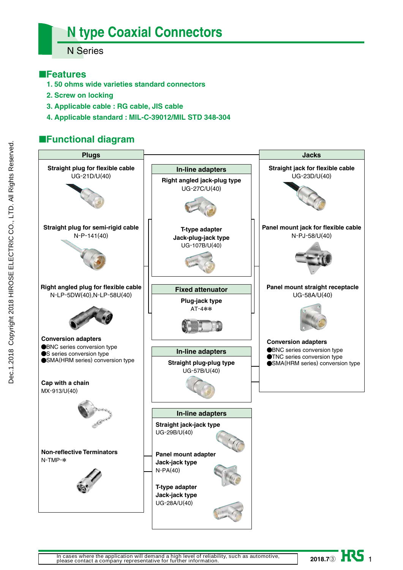# **N type Coaxial Connectors**

N Series

### ■**Features**

- **1. 50 ohms wide varieties standard connectors**
- **2. Screw on locking**
- **3. Applicable cable : RG cable, JIS cable**
- **4. Applicable standard : MIL-C-39012/MIL STD 348-304**

## ■**Functional diagram**



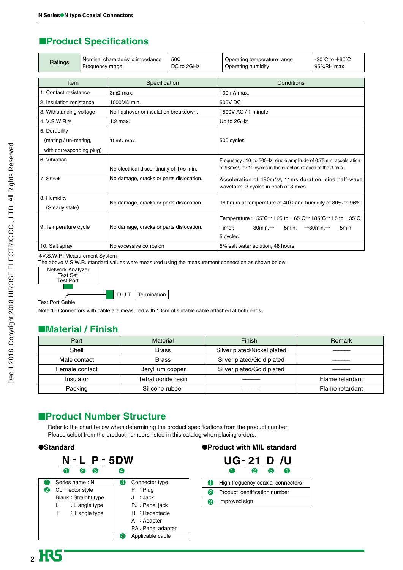## ■**Product Specifications**

| Ratings                                          | Frequency range | Nominal characteristic impedance             | $50\Omega$<br>DC to 2GHz | Operating temperature range<br>Operating humidity                                                                                                  | $-30^{\circ}$ C to $+60^{\circ}$ C<br>95%RH max. |  |  |
|--------------------------------------------------|-----------------|----------------------------------------------|--------------------------|----------------------------------------------------------------------------------------------------------------------------------------------------|--------------------------------------------------|--|--|
| Specification<br>Item                            |                 |                                              | Conditions               |                                                                                                                                                    |                                                  |  |  |
|                                                  |                 |                                              |                          |                                                                                                                                                    |                                                  |  |  |
| 1. Contact resistance                            |                 | $3m\Omega$ max.                              |                          | 100mA max.                                                                                                                                         |                                                  |  |  |
| 2. Insulation resistance                         |                 | 1000MΩ min.                                  |                          | 500V DC                                                                                                                                            |                                                  |  |  |
| 3. Withstanding voltage                          |                 | No flashover or insulation breakdown.        |                          | 1500V AC / 1 minute                                                                                                                                |                                                  |  |  |
| 4. V.S.W.R.*                                     |                 | $1.2$ max.                                   |                          | Up to 2GHz                                                                                                                                         |                                                  |  |  |
| 5. Durability                                    |                 | 10 $m\Omega$ max.                            |                          | 500 cycles                                                                                                                                         |                                                  |  |  |
| (mating / un-mating,<br>with corresponding plug) |                 |                                              |                          |                                                                                                                                                    |                                                  |  |  |
| 6. Vibration                                     |                 | No electrical discontinuity of $1\mu s$ min. |                          | Frequency: 10 to 500Hz, single amplitude of 0.75mm, acceleration<br>of 98m/s <sup>2</sup> , for 10 cycles in the direction of each of the 3 axis.  |                                                  |  |  |
| 7. Shock                                         |                 | No damage, cracks or parts dislocation.      |                          | Acceleration of 490m/s <sup>2</sup> , 11ms duration, sine half-wave<br>waveform, 3 cycles in each of 3 axes.                                       |                                                  |  |  |
| 8. Humidity                                      |                 |                                              |                          |                                                                                                                                                    |                                                  |  |  |
| (Steady state)                                   |                 | No damage, cracks or parts dislocation.      |                          | 96 hours at temperature of 40°C and humidity of 80% to 96%.                                                                                        |                                                  |  |  |
| 9. Temperature cycle                             |                 | No damage, cracks or parts dislocation.      |                          | Temperature : -55°C $\rightarrow$ +25 to +65°C $\rightarrow$ +85°C $\rightarrow$ +5 to +35°C<br>Time:<br>30min. $\rightarrow$<br>5min.<br>5 cycles | $\rightarrow$ 30min. $\rightarrow$<br>5min.      |  |  |
| 10. Salt spray                                   |                 | No excessive corrosion                       |                          | 5% salt water solution, 48 hours                                                                                                                   |                                                  |  |  |

\*V.S.W.R. Measurement System

The above V.S.W.R. standard values were measured using the measurement connection as shown below.



 $D.U.T$  Termination

Test Port Cable

Note 1 : Connectors with cable are measured with 10cm of suitable cable attached at both ends.

## ■**Material / Finish**

| Part           | Material            | Finish                      | Remark          |
|----------------|---------------------|-----------------------------|-----------------|
| Shell          | <b>Brass</b>        | Silver plated/Nickel plated |                 |
| Male contact   | <b>Brass</b>        | Silver plated/Gold plated   |                 |
| Female contact | Beryllium copper    | Silver plated/Gold plated   |                 |
| Insulator      | Tetrafluoride resin |                             | Flame retardant |
| Packing        | Silicone rubber     |                             | Flame retardant |

## ■**Product Number Structure**

Refer to the chart below when determining the product specifications from the product number. Please select from the product numbers listed in this catalog when placing orders.



#### ●**Product with MIL standard**



| $\boldsymbol{Q}$ | Product identification number |
|------------------|-------------------------------|
| ❸                | Improved sign                 |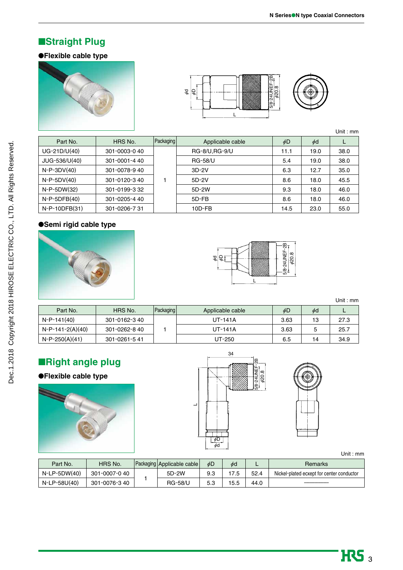## ■**Straight Plug**

### ●**Flexible cable type**





Unit : mm

|                |              |           |                  |          |          | <u>UIII . IIIII</u> |
|----------------|--------------|-----------|------------------|----------|----------|---------------------|
| Part No.       | HRS No.      | Packaging | Applicable cable | $\phi$ D | $\phi$ d |                     |
| $UG-21D/U(40)$ | 301-0003-040 |           | RG-8/U,RG-9/U    | 11.1     | 19.0     | 38.0                |
| JUG-536/U(40)  | 301-0001-440 |           | <b>RG-58/U</b>   | 5.4      | 19.0     | 38.0                |
| $N-P-3DV(40)$  | 301-0078-940 |           | $3D-2V$          | 6.3      | 12.7     | 35.0                |
| $N-P-5DV(40)$  | 301-0120-340 |           | $5D-2V$          | 8.6      | 18.0     | 45.5                |
| N-P-5DW(32)    | 301-0199-332 |           | 5D-2W            | 9.3      | 18.0     | 46.0                |
| $N-P-5DFB(40)$ | 301-0205-440 |           | 5D-FB            | 8.6      | 18.0     | 46.0                |
| N-P-10DFB(31)  | 301-0206-731 |           | $10D-FB$         | 14.5     | 23.0     | 55.0                |

### ●**Semi rigid cable type**





Unit : mm

| Part No.         | HRS No.      | Packaging | Applicable cable | φD   | $\phi$ d |      |
|------------------|--------------|-----------|------------------|------|----------|------|
| N-P-141(40)      | 301-0162-340 |           | UT-141A          | 3.63 | 13       | 27.3 |
| N-P-141-2(A)(40) | 301-0262-840 |           | UT-141A          | 3.63 | 5        | 25.7 |
| $N-P-250(A)(41)$ | 301-0261-541 |           | UT-250           | 6.5  | 14       | 34.9 |

## ■**Right angle plug**

### ●**Flexible cable type**





Unit : mm

| Part No.     | HRS No.      | Packaging   Applicable cable | φD  | фd   | -    | Remarks                                   |
|--------------|--------------|------------------------------|-----|------|------|-------------------------------------------|
| N-LP-5DW(40) | 301-0007-040 | 5D-2W                        | 9.3 | 17.5 | 52.4 | Nickel-plated ecxept for center conductor |
| N-LP-58U(40) | 301-0076-340 | <b>RG-58/U</b>               | 5.3 | 15.5 | 44.0 |                                           |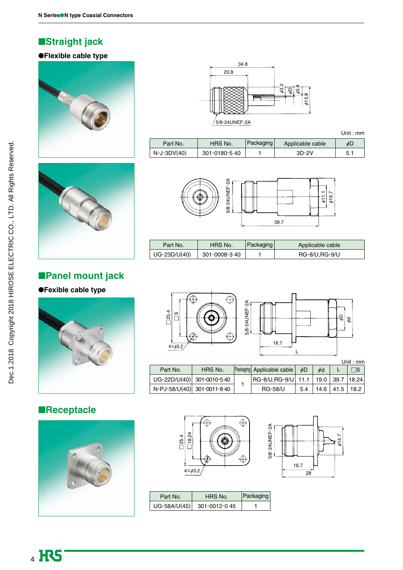## ■**Straight jack**

## ●**Flexible cable type**





# ■**Panel mount jack**

## ●**Fexible cable type**



## ■**Receptacle**





|               |              |           |                  | Unit : $mm$ |
|---------------|--------------|-----------|------------------|-------------|
| Part No.      | HRS No.      | Packaging | Applicable cable | øD          |
| $N-J-3DV(40)$ | 301-0180-540 |           | $3D-2V$          | 5.1         |



| Part No.     | HRS No.      | Packaging | Applicable cable |
|--------------|--------------|-----------|------------------|
| UG-23D/U(40) | 301-0008-340 |           | RG-8/U, RG-9/U   |



|                             |         |  |                            |          |      |      | Unit : mm |
|-----------------------------|---------|--|----------------------------|----------|------|------|-----------|
| Part No.                    | HRS No. |  | Packaging Applicable cable | $\phi$ D | φd   |      |           |
| $UG-22D/U(40)$ 301-0010-540 |         |  | RG-8/U,RG-9/U 11.1         |          | 19.0 | 39.7 | 18.24     |
| N-PJ-58/U(40) 301-0011-840  |         |  | <b>RG-58/U</b>             | 5.4      | 14.6 | 41.5 | 18.2      |





Ød

| Part No.       | HRS No.      | Packaging |
|----------------|--------------|-----------|
| $UG-58A/U(45)$ | 301-0012-045 |           |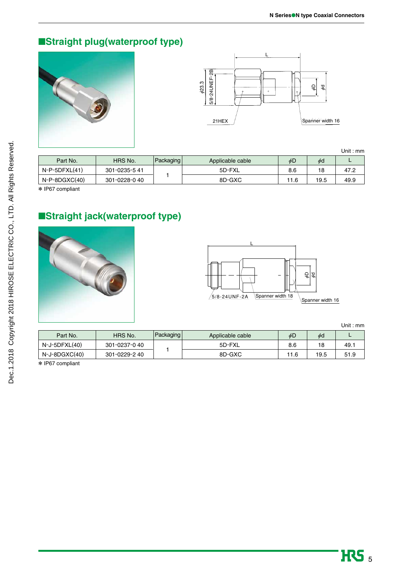## ■**Straight plug(waterproof type)**





|                       |              |           |                  |      |      | Unit : $mm$ |
|-----------------------|--------------|-----------|------------------|------|------|-------------|
| Part No.              | HRS No.      | Packaging | Applicable cable | φD   | Фd   |             |
| N-P-5DFXL(41)         | 301-0235-541 |           | 5D-FXL           | 8.6  | 18   | 47.2        |
| $N-P-BDGXC(40)$       | 301-0228-040 |           | 8D-GXC           | 11.6 | 19.5 | 49.9        |
| $\Phi$ IDC7 compliant |              |           |                  |      |      |             |

\* IP67 compliant

## ■**Straight jack(waterproof type)**





Unit : mm

| Part No.        | HRS No.      | Packaging | Applicable cable | φD        | $\phi$ O |       |
|-----------------|--------------|-----------|------------------|-----------|----------|-------|
| $N-J-5DFXL(40)$ | 301-0237-040 |           | 5D-FXL           | 8.6       | 18       | 49. . |
| $N-J-BDGXC(40)$ | 301-0229-240 |           | 8D-GXC           | 11<br>1.6 | 19.5     | 51.9  |

\* IP67 compliant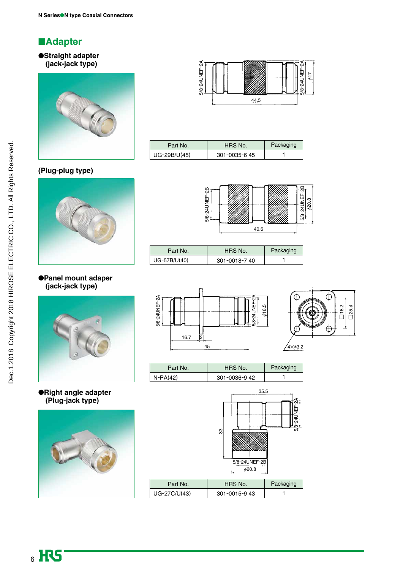## ■**Adapter**

### ●**Straight adapter (jack-jack type)**





| Part No.     | HRS No.      | Packaging |
|--------------|--------------|-----------|
| UG-29B/U(45) | 301-0035-645 |           |

### **(Plug-plug type)**



### ●**Panel mount adaper (jack-jack type)**



### ●**Right angle adapter (Plug-jack type)**





| Part No.     | HRS No.      | Packaging |
|--------------|--------------|-----------|
| UG-57B/U(40) | 301-0018-740 |           |





| Part No.   | HRS No.      | Packaging |
|------------|--------------|-----------|
| $N-PA(42)$ | 301-0036-942 |           |

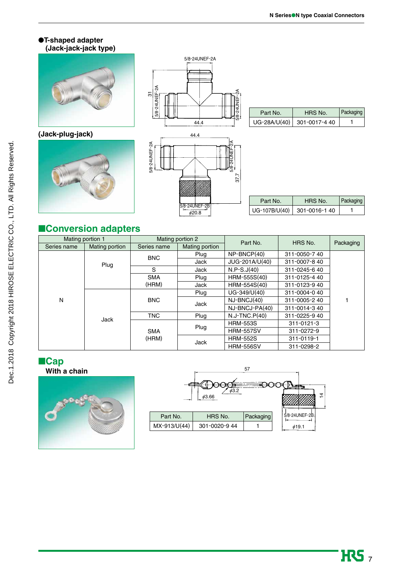### ●**T-shaped adapter (Jack-jack-jack type)**



### **(Jack-plug-jack)**





5/8-24UNEF-2B  $\phi$ 20.8

| Part No. | HRS No.                    | Packaging |
|----------|----------------------------|-----------|
|          | UG-28A/U(40) 301-0017-4 40 |           |

| Part No.      | HRS No.       | Packaging |
|---------------|---------------|-----------|
| UG-107B/U(40) | 301-0016-1 40 |           |

## ■**Conversion adapters**

| Mating portion 1 |                |                               | Mating portion 2 | Part No.         | HRS No.          | Packaging |  |
|------------------|----------------|-------------------------------|------------------|------------------|------------------|-----------|--|
| Series name      | Mating portion | Mating portion<br>Series name |                  |                  |                  |           |  |
|                  |                | <b>BNC</b>                    | Plug             | $NP-BNCP(40)$    | 311-0050-740     |           |  |
|                  | Plug           |                               | Jack             | JUG-201A/U(40)   | 311-0007-840     |           |  |
|                  |                | S                             | Jack             | $N.P-S.J(40)$    | 311-0245-640     |           |  |
|                  |                | <b>SMA</b>                    | Plug             | HRM-555S(40)     | 311-0125-4 40    |           |  |
|                  |                | (HRM)                         | Jack             | HRM-554S(40)     | 311-0123-940     |           |  |
|                  |                | <b>BNC</b>                    | Plug             | $UG - 349/U(40)$ | 311-0004-040     |           |  |
| N                |                |                               |                  | $NJ-BNCJ(40)$    | 311-0005-240     |           |  |
|                  |                |                               | Jack             | NJ-BNCJ-PA(40)   | 311-0014-340     |           |  |
|                  |                | <b>TNC</b>                    | Plug             | $N.J-TNC.P(40)$  | 311-0225-940     |           |  |
|                  | Jack           |                               |                  | <b>HRM-553S</b>  | $311 - 0121 - 3$ |           |  |
|                  |                | <b>SMA</b>                    | Plug             | <b>HRM-557SV</b> | 311-0272-9       |           |  |
|                  |                | (HRM)                         | Jack             | <b>HRM-552S</b>  | 311-0119-1       |           |  |
|                  |                |                               |                  | <b>HRM-556SV</b> | 311-0298-2       |           |  |

## ■**Cap**

### **With a chain**



|              | 63.2<br>643.66 | 57        | 걸             |
|--------------|----------------|-----------|---------------|
| Part No.     | HRS No.        | Packaging | 5/8-24UNEF-2B |
| MX-913/U(44) | 301-0020-944   |           | 619.1         |
|              |                |           |               |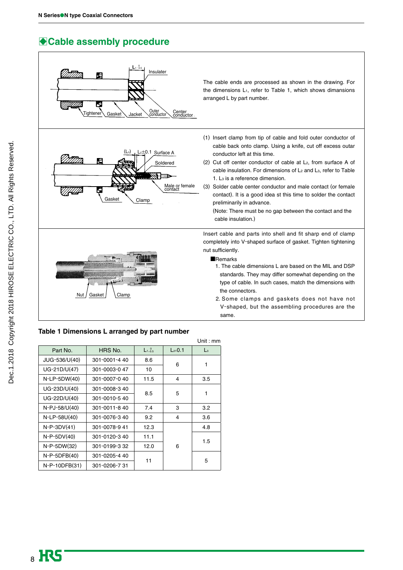## **Cable assembly procedure**



### **Table 1 Dimensions L arranged by part number**

|               |               |                 |                | Unit: $mm$     |
|---------------|---------------|-----------------|----------------|----------------|
| Part No.      | HRS No.       | $L_{1-0.5}^{0}$ | $L_{2\pm}$ 0.1 | $\mathsf{L}_3$ |
| JUG-536/U(40) | 301-0001-4 40 | 8.6             | 6              | 1              |
| UG-21D/U(47)  | 301-0003-0 47 | 10              |                |                |
| N-LP-5DW(40)  | 301-0007-040  | 11.5            | 4              | 3.5            |
| UG-23D/U(40)  | 301-0008-340  | 8.5             | 5              |                |
| UG-22D/U(40)  | 301-0010-540  |                 |                | 1              |
| N-PJ-58/U(40) | 301-0011-840  | 7.4             | 3              | 3.2            |
| N-LP-58U(40)  | 301-0076-340  | 9.2             | 4              | 3.6            |
| $N-P-3DV(41)$ | 301-0078-941  | 12.3            |                | 4.8            |
| $N-P-5DV(40)$ | 301-0120-340  | 11.1            |                | 1.5            |
| N-P-5DW(32)   | 301-0199-332  | 12.0            | 6              |                |
| N-P-5DFB(40)  | 301-0205-4 40 |                 |                |                |
| N-P-10DFB(31) | 301-0206-731  | 11              |                | 5              |
|               |               |                 |                |                |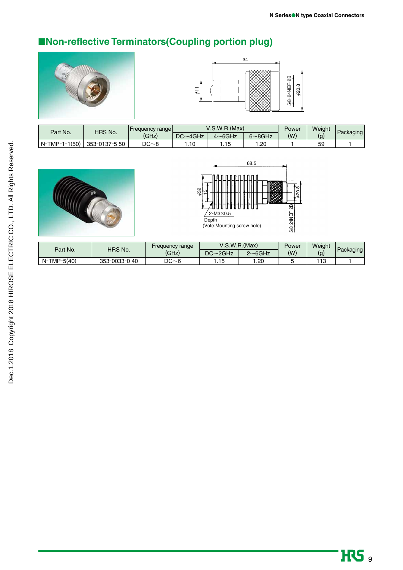## ■**Non-reflective Terminators(Coupling portion plug)**





| Part No.      | Frequency range<br>HRS No. |      |                | V.S.W.R.(Max) | Power          | Weight |     |           |
|---------------|----------------------------|------|----------------|---------------|----------------|--------|-----|-----------|
|               |                            | (GHz | $DC \sim 4GHz$ | $4\neg 6$ GHz | $6 \sim 8$ GHz | (W)    | (g) | Packaging |
| N-TMP-1-1(50) | 353-0137-5 50              | DC~3 | .10            | l. 15         | .20            |        | 59  |           |





| Part No.      | HRS No.      | Frequency range |                | V.S.W.R.(Max)  | Power | Weight |           |
|---------------|--------------|-----------------|----------------|----------------|-------|--------|-----------|
|               |              | (GHz)           | $DC \sim 2GHz$ | $2 \sim 6$ GHz | (W)   | (g)    | Packaging |
| $N-TMP-5(40)$ | 353-0033-040 | DC $\sim$ 6     | .15            | .20            |       | 113    |           |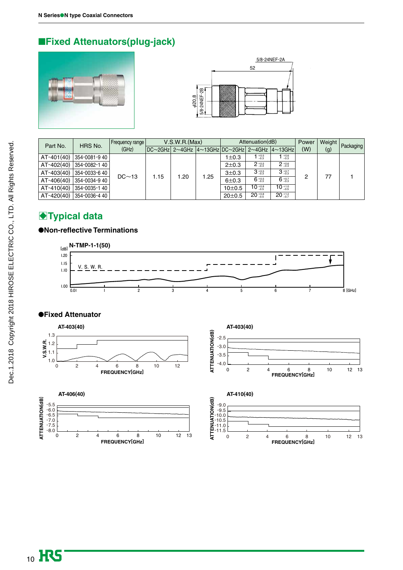## ■**Fixed Attenuators(plug-jack)**





| Part No. | HRS No.                  | Frequency range |      | V.S.W.R.(Max) |       | Attenuation(dB)   |                              |                                                   | Power | Weight |           |
|----------|--------------------------|-----------------|------|---------------|-------|-------------------|------------------------------|---------------------------------------------------|-------|--------|-----------|
|          |                          | (GHz)           |      |               |       |                   |                              | DC~2GHz  2~4GHz  4~13GHz DC~2GHz  2~4GHz  4~13GHz | (W)   | (g)    | Packaging |
|          | AT-401(40) 354-0081-9 40 |                 |      |               | 1±0.3 | $1^{+0.5}_{-0.3}$ | $1^{+0.6}_{-0.3}$            |                                                   |       |        |           |
|          | AT-402(40) 354-0082-1 40 |                 |      |               |       | $2+0.3$           | $2 + 0.6$<br>$2 + 0.5 = 0.3$ |                                                   |       |        |           |
|          | AT-403(40) 354-0033-640  | DC~13           | 1.15 | 1.20          | 1.25  | $3 + 0.3$         | $3 + 0.5 = 0.3$              | $3 + 0.7 - 0.3$                                   | 2     | 77     |           |
|          | AT-406(40) 354-0034-9 40 |                 |      |               |       | $6 + 0.3$         | $6 + 0.5$                    | $6 + 0.7$                                         |       |        |           |
|          | AT-410(40) 354-0035-140  |                 |      |               |       | 10±0.5            | $10^{+0.8}_{-0.5}$           | $10 + 1.0$                                        |       |        |           |
|          | AT-420(40) 354-0036-4 40 |                 |      |               |       | $20 \pm 0.5$      | $20 + 0.8$                   | $20 + 1.2$                                        |       |        |           |

## B**Typical data**

### ●**Non-reflective Terminations**

0 4 6 8 10 12 13

**FREQUENCY[GHz]**



### ●**Fixed Attenuator**

2



0 2 4 6 8 10 12 13 **FREQUENCY[GHz]**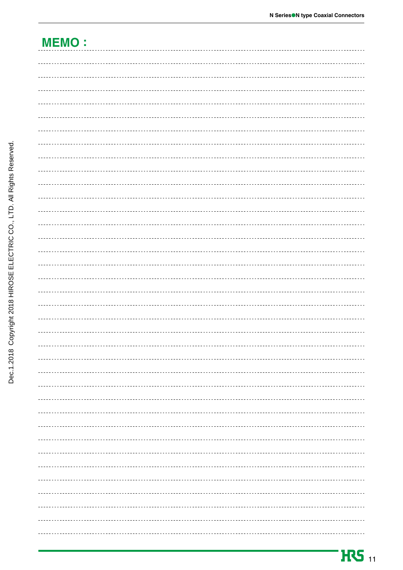| <b>MEMO:</b> |
|--------------|
|              |
|              |
|              |
|              |
|              |
|              |
|              |
|              |
|              |
|              |
|              |
|              |
|              |
|              |
|              |
|              |
|              |
|              |
|              |
|              |
|              |
|              |
| -----------  |
|              |
|              |
|              |
|              |
|              |
|              |
|              |
|              |
|              |
|              |
|              |
|              |
|              |
|              |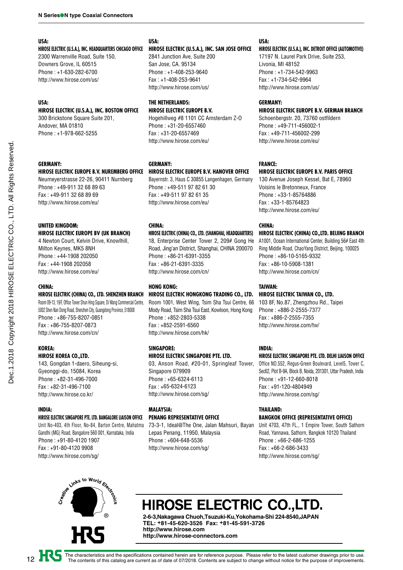#### **USA:**

**HIROSE ELECTRIC (U.S.A.), INC. HEADQUARTERS CHICAGO OFFICE** 2300 Warrenville Road, Suite 150,

Downers Grove, IL 60515 Phone : +1-630-282-6700 http://www.hirose.com/us/

#### **USA:**

#### **HIROSE ELECTRIC (U.S.A.), INC. BOSTON OFFICE** 300 Brickstone Square Suite 201,

Andover, MA 01810 Phone : +1-978-662-5255

#### **GERMANY:**

#### **HIROSE ELECTRIC EUROPE B.V. NUREMBERG OFFICE**

Neumeyerstrasse 22-26, 90411 Nurnberg Phone : +49-911 32 68 89 63 Fax : +49-911 32 68 89 69 http://www.hirose.com/eu/

#### **UNITED KINGDOM: HIROSE ELECTRIC EUROPE BV (UK BRANCH)**

4 Newton Court, Kelvin Drive, Knowlhill, Milton Keynes, MK5 8NH Phone : +44-1908 202050 Fax : +44-1908 202058 http://www.hirose.com/eu/

### **CHINA:**

#### **HIROSE ELECTRIC (CHINA) CO., LTD. SHENZHEN BRANCH**

Room 09-13, 19/F, Office Tower Shun Hing Square, Di Wang Commercial Centre, 5002 Shen Nan Dong Road, Shenzhen City, Guangdong Province, 518008 Phone : +86-755-8207-0851 Fax : +86-755-8207-0873 http://www.hirose.com/cn/

#### **KOREA:**

#### **HIROSE KOREA CO.,LTD.**

143, Gongdan 1-daero, Siheung-si, Gyeonggi-do, 15084, Korea Phone : +82-31-496-7000 Fax : +82-31-496-7100 http://www.hirose.co.kr/

#### **INDIA:**

#### **HIROSE ELECTRIC SINGAPORE PTE. LTD. BANGALORE LIAISON OFFICE**

Unit No-403, 4th Floor, No-84, Barton Centre, Mahatma Gandhi (MG) Road, Bangalore 560 001, Karnataka, India Phone : +91-80-4120 1907 Fax : +91-80-4120 9908 http://www.hirose.com/sg/

#### **USA:**

#### **HIROSE ELECTRIC (U.S.A.), INC. SAN JOSE OFFICE**

2841 Junction Ave, Suite 200 San Jose, CA. 95134 Phone : +1-408-253-9640 Fax : +1-408-253-9641 http://www.hirose.com/us/

#### **THE NETHERLANDS: HIROSE ELECTRIC EUROPE B.V.**

Hogehillweg #8 1101 CC Amsterdam Z-O Phone : +31-20-6557460 Fax : +31-20-6557469 http://www.hirose.com/eu/

#### **GERMANY:**

#### **HIROSE ELECTRIC EUROPE B.V. HANOVER OFFICE**

Bayernstr. 3, Haus C 30855 Langenhagen, Germany Phone : +49-511 97 82 61 30 Fax : +49-511 97 82 61 35 http://www.hirose.com/eu/

#### **CHINA:**

#### **HIROSE ELECTRIC (CHINA) CO., LTD. (SHANGHAI, HEADQUARTERS)**

18, Enterprise Center Tower 2, 209# Gong He Road, Jing'an District, Shanghai, CHINA 200070 Phone : +86-21-6391-3355 Fax : +86-21-6391-3335 http://www.hirose.com/cn/

#### **HONG KONG:**

### **HIROSE ELECTRIC HONGKONG TRADING CO., LTD.**

Room 1001, West Wing, Tsim Sha Tsui Centre, 66 Mody Road, Tsim Sha Tsui East, Kowloon, Hong Kong Phone : +852-2803-5338 Fax : +852-2591-6560 http://www.hirose.com/hk/

### **SINGAPORE:**

#### **HIROSE ELECTRIC SINGAPORE PTE. LTD.**

03, Anson Road, #20-01, Springleaf Tower, Singapore 079909 Phone : +65-6324-6113 Fax : +65-6324-6123 http://www.hirose.com/sg/

#### **MALAYSIA: PENANG REPRESENTATIVE OFFICE**

73-3-1, Ideal@The One, Jalan Mahsuri, Bayan Lepas Penang, 11950, Malaysia Phone : +604-648-5536 http://www.hirose.com/sg/

#### **USA:**

#### **HIROSE ELECTRIC (U.S.A.), INC. DETROIT OFFICE (AUTOMOTIVE)**

17197 N. Laurel Park Drive, Suite 253, Livonia, MI 48152 Phone : +1-734-542-9963 Fax : +1-734-542-9964 http://www.hirose.com/us/

#### **GERMANY:**

#### **HIROSE ELECTRIC EUROPE B.V. GERMAN BRANCH**

Schoenbergstr. 20, 73760 ostfildern Phone : +49-711-456002-1 Fax : +49-711-456002-299 http://www.hirose.com/eu/

#### **FRANCE:**

#### **HIROSE ELECTRIC EUROPE B.V. PARIS OFFICE**

130 Avenue Joseph Kessel, Bat E, 78960 Voisins le Bretonneux, France Phone : +33-1-85764886 Fax : +33-1-85764823 http://www.hirose.com/eu/

#### **CHINA:**

#### **HIROSE ELECTRIC (CHINA) CO.,LTD. BEIJING BRANCH**

A1001, Ocean International Center, Building 56# East 4th Ring Middle Road, ChaoYang District, Beijing, 100025 Phone : +86-10-5165-9332 Fax : +86-10-5908-1381 http://www.hirose.com/cn/

#### **TAIWAN:**

#### **HIROSE ELECTRIC TAIWAN CO., LTD.**

103 8F, No.87, Zhengzhou Rd., Taipei Phone : +886-2-2555-7377 Fax : +886-2-2555-7355 http://www.hirose.com/tw/

#### **INDIA:**

#### **HIROSE ELECTRIC SINGAPORE PTE. LTD. DELHI LIAISON OFFICE**

Office NO.552, Regus-Green Boulevard, Level5, Tower C, Sec62, Plot B-9A, Block B, Noida, 201301, Uttar Pradesh, India Phone : +91-12-660-8018 Fax : +91-120-4804949 http://www.hirose.com/sg/

#### **THAILAND:**

#### **BANGKOK OFFICE (REPRESENTATIVE OFFICE)**

Unit 4703, 47th FL., 1 Empire Tower, South Sathorn Road, Yannawa, Sathorn, Bangkok 10120 Thailand Phone : +66-2-686-1255 Fax : +66-2-686-3433 http://www.hirose.com/sg/



# HIROSE ELECTRIC CO.,LTD.

**2-6-3,Nakagawa Chuoh,Tsuzuki-Ku,Yokohama-Shi 224-8540,JAPAN TEL: +81-45-620-3526 Fax: +81-45-591-3726 http://www.hirose.com http://www.hirose-connectors.com**